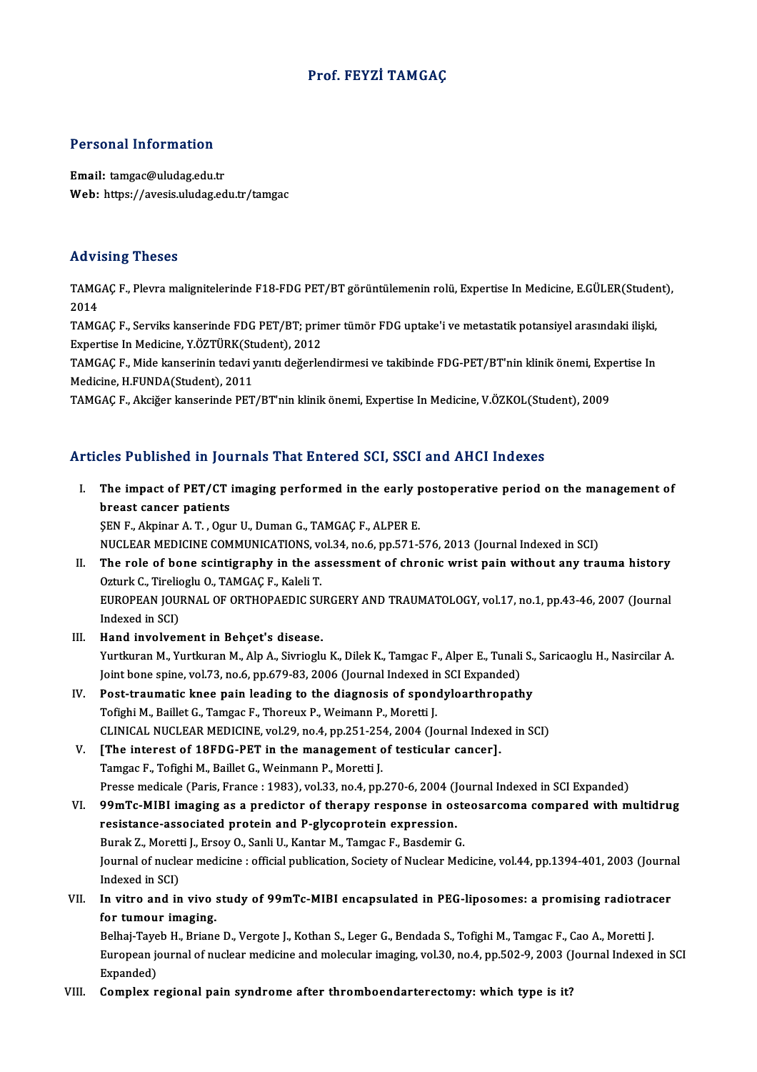# Prof. FEYZİ TAMGAÇ

## Personal Information

Email: tamgac@uludag.edu.tr Web: https://avesis.uludag.edu.tr/tamgac

### Advising Theses

Advising Theses<br>TAMGAÇ F., Plevra malignitelerinde F18-FDG PET/BT görüntülemenin rolü, Expertise In Medicine, E.GÜLER(Student),<br>2014 TAAC<br>TAMG<br>2014<br>TAMC TAMGAÇ F., Plevra malignitelerinde F18-FDG PET/BT görüntülemenin rolü, Expertise In Medicine, E.GÜLER(Studer<br>2014<br>TAMGAÇ F., Serviks kanserinde FDG PET/BT; primer tümör FDG uptake'i ve metastatik potansiyel arasındaki iliş

2014<br>TAMGAÇ F., Serviks kanserinde FDG PET/BT; prin<br>Expertise In Medicine, Y.ÖZTÜRK(Student), 2012<br>TAMGAC E. Mide kanserinin tedavi vanıtı değerle TAMGAÇ F., Serviks kanserinde FDG PET/BT; primer tümör FDG uptake'i ve metastatik potansiyel arasındaki ilişki,<br>Expertise In Medicine, Y.ÖZTÜRK(Student), 2012<br>TAMGAÇ F., Mide kanserinin tedavi yanıtı değerlendirmesi ve tak

Expertise In Medicine, Y.ÖZTÜRK(Student), 2012<br>TAMGAÇ F., Mide kanserinin tedavi yanıtı değerlendirmesi ve takibinde FDG-PET/BT'nin klinik önemi, Exp<br>Medicine, H.FUNDA(Student), 2011<br>TAMGAC F., Akciğer kanserinde PET/BT'ni TAMGAÇ F., Mide kanserinin tedavi yanıtı değerlendirmesi ve takibinde FDG-PET/BT'nin klinik önemi, Expertise In

# Articles Published in Journals That Entered SCI, SSCI and AHCI Indexes

- rticles Published in Journals That Entered SCI, SSCI and AHCI Indexes<br>I. The impact of PET/CT imaging performed in the early postoperative period on the management of<br>hypest cancer patients The impact of PET/CT<br>breast cancer patients<br>SEN E Alminar A T Own The impact of PET/CT imaging performed in the early p<br>breast cancer patients<br>ŞEN F., Akpinar A.T., Ogur U., Duman G., TAMGAÇ F., ALPER E.<br>NUCLEAR MEDICINE COMMUNICATIONS vol 34 no 6 np 571 t breast cancer patients<br>ŞEN F., Akpinar A. T. , Ogur U., Duman G., TAMGAÇ F., ALPER E.<br>NUCLEAR MEDICINE COMMUNICATIONS, vol.34, no.6, pp.571-576, 2013 (Journal Indexed in SCI) SEN F., Akpinar A. T. , Ogur U., Duman G., TAMGAÇ F., ALPER E.<br>NUCLEAR MEDICINE COMMUNICATIONS, vol.34, no.6, pp.571-576, 2013 (Journal Indexed in SCI)<br>II. The role of bone scintigraphy in the assessment of chronic wrist p
- NUCLEAR MEDICINE COMMUNICATIONS, vo<br>The role of bone scintigraphy in the as<br>Ozturk C., Tirelioglu O., TAMGAÇ F., Kaleli T.<br>FUROPEAN JOURNAL OF OPTHOPAEDIC SU The role of bone scintigraphy in the assessment of chronic wrist pain without any trauma history<br>Ozturk C., Tirelioglu O., TAMGAÇ F., Kaleli T.<br>EUROPEAN JOURNAL OF ORTHOPAEDIC SURGERY AND TRAUMATOLOGY, vol.17, no.1, pp.43-Ozturk C., Tirelioglu O., TAMGAÇ F., Kaleli T.<br>EUROPEAN JOURNAL OF ORTHOPAEDIC SURGERY AND TRAUMATOLOGY, vol.17, no.1, pp.43-46, 2007 (Journal<br>Indexed in SCI)
- III. Hand involvement in Behçet's disease. Indexed in SCI)<br>**Hand involvement in Behçet's disease.**<br>Yurtkuran M., Yurtkuran M., Alp A., Sivrioglu K., Dilek K., Tamgac F., Alper E., Tunali S., Saricaoglu H., Nasircilar A.<br>Joint bone spine vol 72, ne 6 np 679, 92, 200 Hand involvement in Behçet's disease.<br>Yurtkuran M., Yurtkuran M., Alp A., Sivrioglu K., Dilek K., Tamgac F., Alper E., Tunali<br>Joint bone spine, vol.73, no.6, pp.679-83, 2006 (Journal Indexed in SCI Expanded)<br>Post treumatis Joint bone spine, vol.73, no.6, pp.679-83, 2006 (Journal Indexed in SCI Expanded)<br>IV. Post-traumatic knee pain leading to the diagnosis of spondyloarthropathy
- Tofighi M., Baillet G., Tamgac F., Thoreux P., Weimann P., Moretti J. Post-traumatic knee pain leading to the diagnosis of spondyloarthropathy<br>Tofighi M., Baillet G., Tamgac F., Thoreux P., Weimann P., Moretti J.<br>CLINICAL NUCLEAR MEDICINE, vol.29, no.4, pp.251-254, 2004 (Journal Indexed in S Tofighi M., Baillet G., Tamgac F., Thoreux P., Weimann P., Moretti J.<br>CLINICAL NUCLEAR MEDICINE, vol.29, no.4, pp.251-254, 2004 (Journal Indexer).<br>V. [The interest of 18FDG-PET in the management of testicular cancer].<br>Tamg
- CLINICAL NUCLEAR MEDICINE, vol.29, no.4, pp.251-25<br>[The interest of 18FDG-PET in the management of<br>Tamgac F., Tofighi M., Baillet G., Weinmann P., Moretti J. [The interest of 18FDG-PET in the management of testicular cancer].<br>Tamgac F., Tofighi M., Baillet G., Weinmann P., Moretti J.<br>Presse medicale (Paris, France : 1983), vol.33, no.4, pp.270-6, 2004 (Journal Indexed in SCI Ex Tamgac F., Tofighi M., Baillet G., Weinmann P., Moretti J.<br>Presse medicale (Paris, France : 1983), vol.33, no.4, pp.270-6, 2004 (Journal Indexed in SCI Expanded)<br>VI. 99mTc-MIBI imaging as a predictor of therapy response in
- Presse medicale (Paris, France : 1983), vol.33, no.4, pp.270-6, 2004 (J<br>99mTc-MIBI imaging as a predictor of therapy response in os<br>resistance-associated protein and P-glycoprotein expression.<br>Purak 7. Moretti L Freev O, S 99mTc-MIBI imaging as a predictor of therapy response in ostensistance-associated protein and P-glycoprotein expression.<br>Burak Z., Moretti J., Ersoy O., Sanli U., Kantar M., Tamgac F., Basdemir G.<br>Journal of nuclear modisi resistance-associated protein and P-glycoprotein expression.<br>Burak Z., Moretti J., Ersoy O., Sanli U., Kantar M., Tamgac F., Basdemir G.<br>Journal of nuclear medicine : official publication, Society of Nuclear Medicine, vol. Burak Z., Moretti J., Ersoy O., Sanli U., Kantar M., Tamgac F., Basdemir G. Journal of nuclear medicine : official publication, Society of Nuclear Medicine, vol.44, pp.1394-401, 2003 (Journal Indexed in SCI)<br>VII. In vitro and in vivo study of 99mTc-MIBI encapsulated in PEG-liposomes: a promising r
- Indexed in SCI)<br>In vitro and in vivo:<br>for tumour imaging.<br>Belhai Tayoh H. Briang In vitro and in vivo study of 99mTc-MIBI encapsulated in PEG-liposomes: a promising radiotrad<br>for tumour imaging.<br>Belhaj-Tayeb H., Briane D., Vergote J., Kothan S., Leger G., Bendada S., Tofighi M., Tamgac F., Cao A., More

for tumour imaging.<br>Belhaj-Tayeb H., Briane D., Vergote J., Kothan S., Leger G., Bendada S., Tofighi M., Tamgac F., Cao A., Moretti J.<br>European journal of nuclear medicine and molecular imaging, vol.30, no.4, pp.502-9, 200 Belhaj-Tayeb H., Briane D., Vergote J., Kothan S., Leger G., Bendada S., Tofighi M., Tamgac F., Cao A., Moretti J.

#### VIII. Complex regional pain syndrome after thromboendarterectomy: which type is it?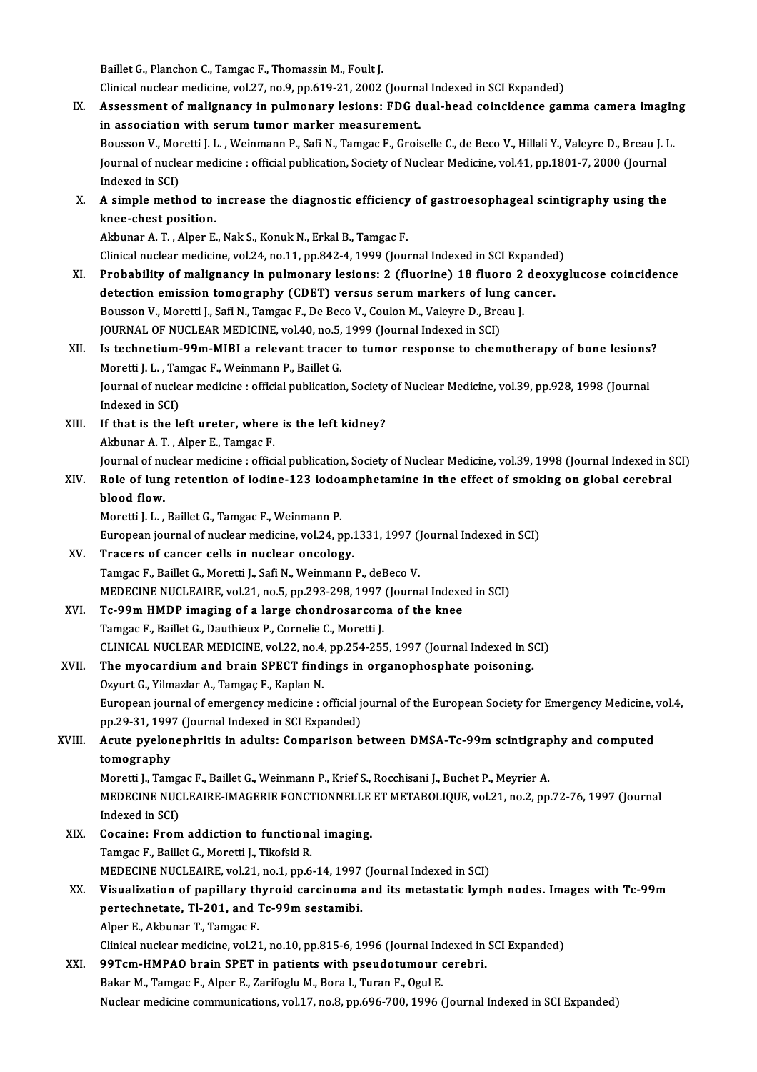Baillet G., Planchon C., Tamgac F., Thomassin M., Foult J.

Clinical nuclear medicine, vol.27, no.9, pp.619-21, 2002 (Journal Indexed in SCI Expanded)

IX. Assessment of malignancy in pulmonary lesions: FDG dual-head coincidence gamma camera imaging in association with serum tumor marker measurement. Assessment of malignancy in pulmonary lesions: FDG dual-head coincidence gamma camera imagin<br>in association with serum tumor marker measurement.<br>Bousson V., Moretti J. L. , Weinmann P., Safi N., Tamgac F., Groiselle C., de in association with serum tumor marker measurement.<br>Bousson V., Moretti J. L. , Weinmann P., Safi N., Tamgac F., Groiselle C., de Beco V., Hillali Y., Valeyre D., Breau J. I<br>Journal of nuclear medicine : official publicati Bousson V., Mor<br>Journal of nucle<br>Indexed in SCI)<br>A simple meth Journal of nuclear medicine : official publication, Society of Nuclear Medicine, vol.41, pp.1801-7, 2000 (Journal<br>Indexed in SCI)<br>X. A simple method to increase the diagnostic efficiency of gastroesophageal scintigraphy us Indexed in SCI)<br>A simple method to<br>knee-chest position.<br>Akbunar A T - Alper E knee-chest position.<br>Akbunar A. T. , Alper E., Nak S., Konuk N., Erkal B., Tamgac F. knee-chest position.<br>Akbunar A. T. , Alper E., Nak S., Konuk N., Erkal B., Tamgac F.<br>Clinical nuclear medicine, vol.24, no.11, pp.842-4, 1999 (Journal Indexed in SCI Expanded)<br>Probobility of melignangy in pulmonary lesions XI. Probability of malignancy in pulmonary lesions: 2 (fluorine) 18 fluoro 2 deoxyglucose coincidence<br>detection emission tomography (CDET) versus serum markers of lung cancer. Clinical nuclear medicine, vol.24, no.11, pp.842-4, 1999 (Journal Indexed in SCI Expanded<br>Probability of malignancy in pulmonary lesions: 2 (fluorine) 18 fluoro 2 deox<br>detection emission tomography (CDET) versus serum mark Probability of malignancy in pulmonary lesions: 2 (fluorine) 18 fluoro 2<br>detection emission tomography (CDET) versus serum markers of lung ca<br>Bousson V., Moretti J., Safi N., Tamgac F., De Beco V., Coulon M., Valeyre D., B detection emission tomography (CDET) versus serum markers of lun<br>Bousson V., Moretti J., Safi N., Tamgac F., De Beco V., Coulon M., Valeyre D., Bre<br>JOURNAL OF NUCLEAR MEDICINE, vol.40, no.5, 1999 (Journal Indexed in SCI)<br>I Bousson V., Moretti J., Safi N., Tamgac F., De Beco V., Coulon M., Valeyre D., Breau J.<br>JOURNAL OF NUCLEAR MEDICINE, vol.40, no.5, 1999 (Journal Indexed in SCI)<br>XII. Is technetium-99m-MIBI a relevant tracer to tumor respon JOURNAL OF NUCLEAR MEDICINE, vol.40, no.5, 1999 (Journal Indexed in SCI)<br>Is technetium-99m-MIBI a relevant tracer to tumor response to chemotherapy of bone lesions<br>Moretti J. L. , Tamgac F., Weinmann P., Baillet G.<br>Journal Is technetium-99m-MIBI a relevant tracer to tumor response to chemotherapy of bone lesions<br>Moretti J. L. , Tamgac F., Weinmann P., Baillet G.<br>Journal of nuclear medicine : official publication, Society of Nuclear Medicine, Moretti J. L. , Tamgac F., Weinmann P., Baillet G.<br>Journal of nuclear medicine : official publication<br>Indexed in SCI) Journal of nuclear medicine : official publication, Society<br>Indexed in SCI)<br>XIII. If that is the left ureter, where is the left kidney? Indexed in SCI)<br>If that is the left ureter, where<br>Akbunar A. T. , Alper E., Tamgac F.<br>Journal of nuclear modicine : offici Akbunar A. T. , Alper E., Tamgac F.<br>Journal of nuclear medicine : official publication, Society of Nuclear Medicine, vol.39, 1998 (Journal Indexed in SCI) Akbunar A. T. , Alper E., Tamgac F.<br>Journal of nuclear medicine : official publication, Society of Nuclear Medicine, vol.39, 1998 (Journal Indexed in S<br>XIV. Role of lung retention of iodine-123 iodoamphetamine in the e Journal of nu<br><mark>Role of lun</mark><br>blood flow.<br>Moretti LL Role of lung retention of iodine-123 iodo:<br>blood flow.<br>Moretti J. L. , Baillet G., Tamgac F., Weinmann P.<br>European journal of nuclear medicine, vol 24. p blood flow.<br>Moretti J. L. , Baillet G., Tamgac F., Weinmann P.<br>European journal of nuclear medicine, vol.24, pp.1331, 1997 (Journal Indexed in SCI)<br>Trasers of sanser sells in nuclear enselesy. Moretti J. L. , Baillet G., Tamgac F., Weinmann P.<br>European journal of nuclear medicine, vol.24, pp.1331, 1997 (<br>XV. Tracers of cancer cells in nuclear oncology.<br>Tamgac F., Baillet G., Moretti J., Safi N., Weinmann P., deB European journal of nuclear medicine, vol.24, pp.1331, 1997 ()<br>Tracers of cancer cells in nuclear oncology.<br>Tamgac F., Baillet G., Moretti J., Safi N., Weinmann P., deBeco V.<br>MEDECINE NUCLEAURE vol.21, po 5, pp.202, 209, 1 Tracers of cancer cells in nuclear oncology.<br>Tamgac F., Baillet G., Moretti J., Safi N., Weinmann P., deBeco V.<br>MEDECINE NUCLEAIRE, vol.21, no.5, pp.293-298, 1997 (Journal Indexed in SCI)<br>Te 99m HMDB imaging of a large sha XVI. Tc-99m HMDP imaging of a large chondrosarcoma of the knee<br>Tamgac F., Baillet G., Dauthieux P., Cornelie C., Moretti J. MEDECINE NUCLEAIRE, vol.21, no.5, pp.293-298, 1997<br>Tc-99m HMDP imaging of a large chondrosarcom<br>Tamgac F., Baillet G., Dauthieux P., Cornelie C., Moretti J.<br>CLINICAL NUCLEAR MEDICINE vol.22, no.4, np.354, 255 Tc-99m HMDP imaging of a large chondrosarcoma of the knee<br>Tamgac F., Baillet G., Dauthieux P., Cornelie C., Moretti J.<br>CLINICAL NUCLEAR MEDICINE, vol.22, no.4, pp.254-255, 1997 (Journal Indexed in SCI)<br>The myeogradium and XVII. The myocardium and brain SPECT findings in organophosphate poisoning.<br>Ozyurt G., Yilmazlar A., Tamgaç F., Kaplan N. CLINICAL NUCLEAR MEDICINE, vol.22, no.4,<br>The myocardium and brain SPECT find<br>Ozyurt G., Yilmazlar A., Tamgaç F., Kaplan N. The myocardium and brain SPECT findings in organophosphate poisoning.<br>Ozyurt G., Yilmazlar A., Tamgaç F., Kaplan N.<br>European journal of emergency medicine : official journal of the European Society for Emergency Medicine, Ozyurt G., Yilmazlar A., Tamgaç F., Kaplan N.<br>European journal of emergency medicine : official journal Indexed in SCI Expanded) European journal of emergency medicine : official journal of the European Society for Emergency Medicine,<br>pp.29-31, 1997 (Journal Indexed in SCI Expanded)<br>XVIII. Acute pyelonephritis in adults: Comparison between DMSA-Tc-9 pp.29-31, 199<br>Acute pyelon<br>tomography<br>Meretti L. Tam Acute pyelonephritis in adults: Comparison between DMSA-Tc-99m scintigrap<br>tomography<br>Moretti J., Tamgac F., Baillet G., Weinmann P., Krief S., Rocchisani J., Buchet P., Meyrier A.<br>MEDECINE NUCLEAIRE IMACERIE FONCTIONNELLE tomography<br>Moretti J., Tamgac F., Baillet G., Weinmann P., Krief S., Rocchisani J., Buchet P., Meyrier A.<br>MEDECINE NUCLEAIRE-IMAGERIE FONCTIONNELLE ET METABOLIQUE, vol.21, no.2, pp.72-76, 1997 (Journal<br>Indexed in SCI) Moretti J., Tamgac F., Baillet G., Weinmann P., Krief S., Rocchisani J., Buchet P., Meyrier A. MEDECINE NUCLEAIRE-IMAGERIE FONCTIONNELLE<br>Indexed in SCI)<br>XIX. Cocaine: From addiction to functional imaging.<br>Tomgas E. Baillet C. Moretti L. Tikofeki B. Indexed in SCI)<br>Cocaine: From addiction to functiona<br>Tamgac F., Baillet G., Moretti J., Tikofski R.<br>MEDECINE NUCLEAIRE vol 21, no 1, nn 6 Cocaine: From addiction to functional imaging.<br>Tamgac F., Baillet G., Moretti J., Tikofski R.<br>MEDECINE NUCLEAIRE, vol.21, no.1, pp.6-14, 1997 (Journal Indexed in SCI)<br>Viaualization of nonillary thuroid carginome and its me Tamgac F., Baillet G., Moretti J., Tikofski R.<br>MEDECINE NUCLEAIRE, vol.21, no.1, pp.6-14, 1997 (Journal Indexed in SCI)<br>XX. Visualization of papillary thyroid carcinoma and its metastatic lymph nodes. Images with Tc-99 MEDECINE NUCLEAIRE, vol.21, no.1, pp.6-14, 1997<br>Visualization of papillary thyroid carcinoma<br>pertechnetate, Tl-201, and Tc-99m sestamibi.<br>Alper E. Althuner T. Temses E Visualization of papillary th<br>pertechnetate, Tl-201, and '<br>Alper E., Akbunar T., Tamgac F.<br>Clinical pucker medicine, vol.23 pertechnetate, Tl-201, and Tc-99m sestamibi.<br>Alper E., Akbunar T., Tamgac F.<br>Clinical nuclear medicine, vol.21, no.10, pp.815-6, 1996 (Journal Indexed in SCI Expanded)<br>99Tem HMBAQ brain SBET in nationts with neaudatumour s Alper E., Akbunar T., Tamgac F.<br>Clinical nuclear medicine, vol.21, no.10, pp.815-6, 1996 (Journal Indexed in<br>XXI. 99Tcm-HMPAO brain SPET in patients with pseudotumour cerebri.<br>Relieved Temgao F. Alper F. Zerifogly M. Bore Clinical nuclear medicine, vol.21, no.10, pp.815-6, 1996 (Journal Incorport United States of Augustalian SPET<br>Bakar M., Tamgac F., Alper E., Zarifoglu M., Bora I., Turan F., Ogul E.<br>Nuclear medicine communications vol.17, 99Tcm-HMPAO brain SPET in patients with pseudotumour cerebri.<br>Bakar M., Tamgac F., Alper E., Zarifoglu M., Bora I., Turan F., Ogul E.<br>Nuclear medicine communications, vol.17, no.8, pp.696-700, 1996 (Journal Indexed in SCI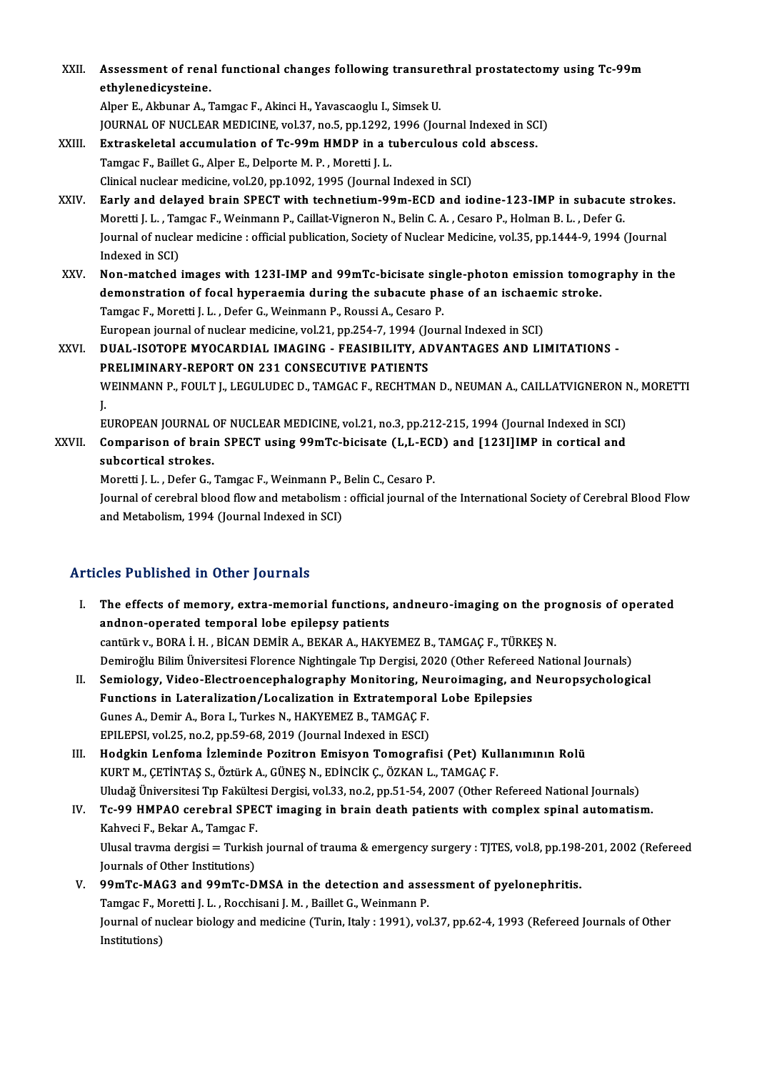XXI . Assessment of renal functional changes fol owing transurethral prostatectomy using Tc-99m Assessment of rena<br>ethylenedicysteine.<br>Alper E. Althuner A. 7 Assessment of renal functional changes following transure<br>ethylenedicysteine.<br>Alper E., Akbunar A., Tamgac F., Akinci H., Yavascaoglu I., Simsek U.<br>JOUPMAL OF NUCLEAR MEDICINE vol 27, no 5, nn 1292, 1996 (Jou ethylenedicysteine.<br>Alper E., Akbunar A., Tamgac F., Akinci H., Yavascaoglu I., Simsek U.<br>JOURNAL OF NUCLEAR MEDICINE, vol.37, no.5, pp.1292, 1996 (Journal Indexed in SCI)<br>Extraekalatal accumulation of Te 99m HMDB in a tub

Alper E., Akbunar A., Tamgac F., Akinci H., Yavascaoglu I., Simsek U.<br>JOURNAL OF NUCLEAR MEDICINE, vol.37, no.5, pp.1292, 1996 (Journal Indexed in SC<br>XXIII. Extraskeletal accumulation of Tc-99m HMDP in a tuberculous cold a JOURNAL OF NUCLEAR MEDICINE, vol.37, no.5, pp.1292,<br>Extraskeletal accumulation of Tc-99m HMDP in a t<br>Tamgac F., Baillet G., Alper E., Delporte M. P. , Moretti J. L.<br>Clinical nuclear modicine, vol.20, np.1092, 1995 (Journal Extraskeletal accumulation of Tc-99m HMDP in a tuberculous co<br>Tamgac F., Baillet G., Alper E., Delporte M. P. , Moretti J. L.<br>Clinical nuclear medicine, vol.20, pp.1092, 1995 (Journal Indexed in SCI)<br>Farly and delayed brai Tamgac F., Baillet G., Alper E., Delporte M. P. , Moretti J. L.<br>Clinical nuclear medicine, vol.20, pp.1092, 1995 (Journal Indexed in SCI)<br>XXIV. Early and delayed brain SPECT with technetium-99m-ECD and iodine-123-IMP i

Moretti J. L., Tamgac F., Weinmann P., Caillat-Vigneron N., Belin C. A., Cesaro P., Holman B. L., Defer G. Early and delayed brain SPECT with technetium-99m-ECD and iodine-123-IMP in subacute stroke:<br>Moretti J. L. , Tamgac F., Weinmann P., Caillat-Vigneron N., Belin C. A. , Cesaro P., Holman B. L. , Defer G.<br>Journal of nuclear Moretti J. L. , Tai<br>Journal of nucle<br>Indexed in SCI)<br>Non-matched Journal of nuclear medicine : official publication, Society of Nuclear Medicine, vol.35, pp.1444-9, 1994 (Journal<br>Indexed in SCI)<br>XXV. Non-matched images with 123I-IMP and 99mTc-bicisate single-photon emission tomography i

Indexed in SCI)<br>Non-matched images with 123I-IMP and 99mTc-bicisate single-photon emission tomog<br>demonstration of focal hyperaemia during the subacute phase of an ischaemic stroke.<br>Tamges E. Maretti L.L. Defer G. Weinmann Non-matched images with 123I-IMP and 99mTc-bicisate single-photon emission tomography in the<br>demonstration of focal hyperaemia during the subacute phase of an ischaemic stroke.<br>Tamgac F., Moretti J. L., Defer G., Weinmann demonstration of focal hyperaemia during the subacute phase of an ischaem<br>Tamgac F., Moretti J. L. , Defer G., Weinmann P., Roussi A., Cesaro P.<br>European journal of nuclear medicine, vol.21, pp.254-7, 1994 (Journal Indexed Tamgac F., Moretti J. L. , Defer G., Weinmann P., Roussi A., Cesaro P.<br>European journal of nuclear medicine, vol.21, pp.254-7, 1994 (Journal Indexed in SCI)<br>XXVI. DUAL-ISOTOPE MYOCARDIAL IMAGING - FEASIBILITY, ADVANTAGES A

European journal of nuclear medicine, vol.21, pp.254-7, 1994 (Jc<br>DUAL-ISOTOPE MYOCARDIAL IMAGING - FEASIBILITY, AI<br>PRELIMINARY-REPORT ON 231 CONSECUTIVE PATIENTS<br>WEINMANN B. FOULTJ J ECULUDEC D. TAMCAC E. BECUTMA) PRELIMINARY-REPORT ON 231 CONSECUTIVE PATIENTS<br>WEINMANN P., FOULT J., LEGULUDEC D., TAMGAC F., RECHTMAN D., NEUMAN A., CAILLATVIGNERON N., MORETTI<br>J. P<br>V.J<br>E. WEINMANN P., FOULT J., LEGULUDEC D., TAMGAC F., RECHTMAN D., NEUMAN A., CAILLATVIGNERON <mark>I</mark><br>J.<br>EUROPEAN JOURNAL OF NUCLEAR MEDICINE, vol.21, no.3, pp.212-215, 1994 (Journal Indexed in SCI)<br>Comparison of broin SBECT using 2 J.<br>EUROPEAN JOURNAL OF NUCLEAR MEDICINE, vol.21, no.3, pp.212-215, 1994 (Journal Indexed in SCI)<br>XXVII. Comparison of brain SPECT using 99mTc-bicisate (L,L-ECD) and [123I]IMP in cortical and<br>subsertisel strekes

EUROPEAN JOURNAL<br>Comparison of brain<br>subcortical strokes.<br>Moratti L. Defer C. Comparison of brain SPECT using 99mTc-bicisate (L,L-EC)<br>subcortical strokes.<br>Moretti J. L. , Defer G., Tamgac F., Weinmann P., Belin C., Cesaro P.<br>Journal of cerebral blood flow and metabolism : official journal of

subcortical strokes.<br>Moretti J. L. , Defer G., Tamgac F., Weinmann P., Belin C., Cesaro P.<br>Journal of cerebral blood flow and metabolism : official journal of the International Society of Cerebral Blood Flow<br>and Metabolism Moretti J. L. , Defer G., Tamgac F., Weinmann P., J<br>Journal of cerebral blood flow and metabolism<br>and Metabolism, 1994 (Journal Indexed in SCI)

# Articles Published in Other Journals

- rticles Published in Other Journals<br>I. The effects of memory, extra-memorial functions, andneuro-imaging on the prognosis of operated<br>andnen energied temporal labe enjlangy patients The effects of memory, extra-memorial functions,<br>andnon-operated temporal lobe epilepsy patients<br>continty, POPA LH, PICAN DEMIP A, PEKAP A, HAKY The effects of memory, extra-memorial functions, andneuro-imaging on the pr<br>andnon-operated temporal lobe epilepsy patients<br>cantürk v., BORA İ. H. , BİCAN DEMİR A., BEKAR A., HAKYEMEZ B., TAMGAÇ F., TÜRKEŞ N.<br>Demineğlu Bil andnon-operated temporal lobe epilepsy patients<br>cantürk v., BORA İ. H. , BİCAN DEMİR A., BEKAR A., HAKYEMEZ B., TAMGAÇ F., TÜRKEŞ N.<br>Demiroğlu Bilim Üniversitesi Florence Nightingale Tıp Dergisi, 2020 (Other Refereed Natio
- II. Semiology, Video-Electroencephalography Monitoring, Neuroimaging, and Neuropsychological Demiroğlu Bilim Üniversitesi Florence Nightingale Tıp Dergisi, 2020 (Other Refereed<br>Semiology, Video-Electroencephalography Monitoring, Neuroimaging, and<br>Functions in Lateralization/Localization in Extratemporal Lobe Epile Semiology, Video-Electroencephalography Monitoring, N<br>Functions in Lateralization/Localization in Extratempora<br>Gunes A., Demir A., Bora I., Turkes N., HAKYEMEZ B., TAMGAÇ F.<br>FPU EPSL vol 25, no 2, nn 59,69,2019 (Journal In Functions in Lateralization/Localization in Extratempora<br>Gunes A., Demir A., Bora I., Turkes N., HAKYEMEZ B., TAMGAÇ F.<br>EPILEPSI, vol.25, no.2, pp.59-68, 2019 (Journal Indexed in ESCI)<br>Hodskin J onfoma Islaminde Bositron E Gunes A., Demir A., Bora I., Turkes N., HAKYEMEZ B., TAMGAÇ F.<br>EPILEPSI, vol.25, no.2, pp.59-68, 2019 (Journal Indexed in ESCI)<br>III. Hodgkin Lenfoma İzleminde Pozitron Emisyon Tomografisi (Pet) Kullanımının Rolü
- KURTM.,ÇETİNTAŞ S.,ÖztürkA.,GÜNEŞN.,EDİNCİKÇ.,ÖZKANL.,TAMGAÇF. Uludağ Üniversitesi Tıp Fakültesi Dergisi, vol.33, no.2, pp.51-54, 2007 (Other Refereed National Journals) KURT M., ÇETİNTAŞ S., Öztürk A., GÜNEŞ N., EDİNCİK Ç., ÖZKAN L., TAMGAÇ F.<br>Uludağ Üniversitesi Tıp Fakültesi Dergisi, vol.33, no.2, pp.51-54, 2007 (Other Refereed National Journals)<br>IV. Tc-99 HMPAO cerebral SPECT imagi
- Uludağ Üniversitesi Tıp Fakülte<br>Tc-99 HMPAO cerebral SPE<br>Kahveci F., Bekar A., Tamgac F.<br>Ulusel trauma dergisi Turkisl Tc-99 HMPAO cerebral SPECT imaging in brain death patients with complex spinal automatism.<br>Kahveci F., Bekar A., Tamgac F.<br>Ulusal travma dergisi = Turkish journal of trauma & emergency surgery : TJTES, vol.8, pp.198-201, 2 Kahveci F., Bekar A., Tamgac F.<br>Ulusal travma dergisi = Turkis<br>Journals of Other Institutions)<br>99mTe MAG3 and 99mTe D Ulusal travma dergisi = Turkish journal of trauma & emergency surgery : TJTES, vol.8, pp.198<br>Journals of Other Institutions)<br>V. 99mTc-MAG3 and 99mTc-DMSA in the detection and assessment of pyelonephritis.<br>Tamgas E. Maretti
- Journals of Other Institutions)<br>V. 99mTc-MAG3 and 99mTc-DMSA in the detection and assessment of pyelonephritis.<br>Tamgac F., Moretti J. L. , Rocchisani J. M. , Baillet G., Weinmann P. 99mTc-MAG3 and 99mTc-DMSA in the detection and assessment of pyelonephritis.<br>Tamgac F., Moretti J. L. , Rocchisani J. M. , Baillet G., Weinmann P.<br>Journal of nuclear biology and medicine (Turin, Italy : 1991), vol.37, pp.6 Tamgac F., M<br>Journal of n<br>Institutions)